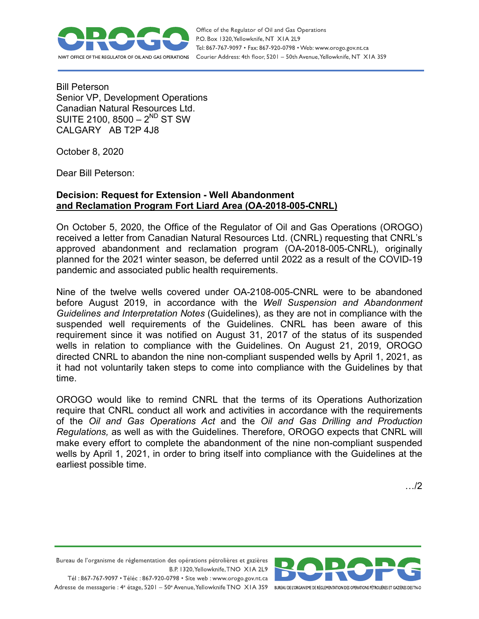

Office of the Regulator of Oil and Gas Operations P.O. Box 1320, Yellowknife, NT XIA 2L9 Tel: 867-767-9097 • Fax: 867-920-0798 • Web: www.orogo.gov.nt.ca Courier Address: 4th floor, 5201 - 50th Avenue, Yellowknife, NT XIA 3S9

Bill Peterson Senior VP, Development Operations Canadian Natural Resources Ltd. SUITE 2100, 8500 –  $2^{ND}$  ST SW CALGARY AB T2P 4J8

October 8, 2020

Dear Bill Peterson:

## **Decision: Request for Extension - Well Abandonment and Reclamation Program Fort Liard Area (OA-2018-005-CNRL)**

On October 5, 2020, the Office of the Regulator of Oil and Gas Operations (OROGO) received a letter from Canadian Natural Resources Ltd. (CNRL) requesting that CNRL's approved abandonment and reclamation program (OA-2018-005-CNRL), originally planned for the 2021 winter season, be deferred until 2022 as a result of the COVID-19 pandemic and associated public health requirements.

Nine of the twelve wells covered under OA-2108-005-CNRL were to be abandoned before August 2019, in accordance with the *Well Suspension and Abandonment Guidelines and Interpretation Notes* (Guidelines), as they are not in compliance with the suspended well requirements of the Guidelines. CNRL has been aware of this requirement since it was notified on August 31, 2017 of the status of its suspended wells in relation to compliance with the Guidelines. On August 21, 2019, OROGO directed CNRL to abandon the nine non-compliant suspended wells by April 1, 2021, as it had not voluntarily taken steps to come into compliance with the Guidelines by that time.

OROGO would like to remind CNRL that the terms of its Operations Authorization require that CNRL conduct all work and activities in accordance with the requirements of the *Oil and Gas Operations Act* and the *Oil and Gas Drilling and Production Regulations,* as well as with the Guidelines*.* Therefore, OROGO expects that CNRL will make every effort to complete the abandonment of the nine non-compliant suspended wells by April 1, 2021, in order to bring itself into compliance with the Guidelines at the earliest possible time.

…/2

Bureau de l'organisme de réglementation des opérations pétrolières et gazières B.P. 1320, Yellowknife, TNO XIA 2L9

Tél: 867-767-9097 • Téléc: 867-920-0798 • Site web: www.orogo.gov.nt.ca Adresse de messagerie : 4<sup>e</sup> étage, 5201 - 50° Avenue, Yellowknife TNO XIA 3S9 BUREAU DE L'ORGANISME DE RÉGLEMENTATION DES OPERATIONS PÉTROLIÈRES ET GAZIÈRES DESTNO

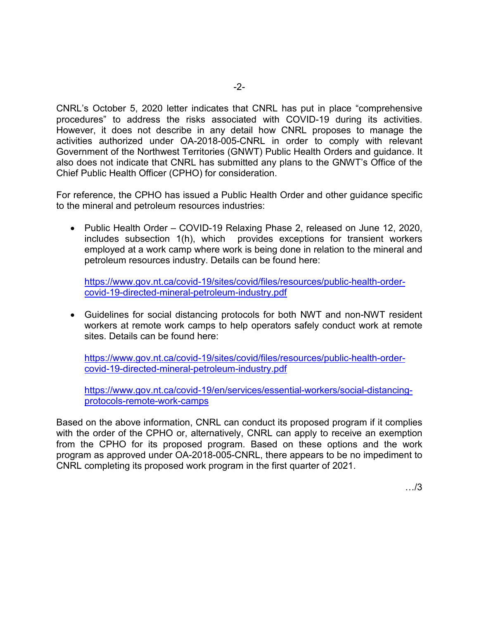CNRL's October 5, 2020 letter indicates that CNRL has put in place "comprehensive procedures" to address the risks associated with COVID-19 during its activities. However, it does not describe in any detail how CNRL proposes to manage the activities authorized under OA-2018-005-CNRL in order to comply with relevant Government of the Northwest Territories (GNWT) Public Health Orders and guidance. It also does not indicate that CNRL has submitted any plans to the GNWT's Office of the Chief Public Health Officer (CPHO) for consideration.

For reference, the CPHO has issued a Public Health Order and other guidance specific to the mineral and petroleum resources industries:

• Public Health Order – COVID-19 Relaxing Phase 2, released on June 12, 2020, includes subsection 1(h), which provides exceptions for transient workers employed at a work camp where work is being done in relation to the mineral and petroleum resources industry. Details can be found here:

[https://www.gov.nt.ca/covid-19/sites/covid/files/resources/public-health-order](https://www.gov.nt.ca/covid-19/sites/covid/files/resources/public-health-order-covid-19-directed-mineral-petroleum-industry.pdf)[covid-19-directed-mineral-petroleum-industry.pdf](https://www.gov.nt.ca/covid-19/sites/covid/files/resources/public-health-order-covid-19-directed-mineral-petroleum-industry.pdf)

• Guidelines for social distancing protocols for both NWT and non-NWT resident workers at remote work camps to help operators safely conduct work at remote sites. Details can be found here:

[https://www.gov.nt.ca/covid-19/sites/covid/files/resources/public-health-order](https://www.gov.nt.ca/covid-19/sites/covid/files/resources/public-health-order-covid-19-directed-mineral-petroleum-industry.pdf)[covid-19-directed-mineral-petroleum-industry.pdf](https://www.gov.nt.ca/covid-19/sites/covid/files/resources/public-health-order-covid-19-directed-mineral-petroleum-industry.pdf)

[https://www.gov.nt.ca/covid-19/en/services/essential-workers/social-distancing](https://www.gov.nt.ca/covid-19/en/services/essential-workers/social-distancing-protocols-remote-work-camps)[protocols-remote-work-camps](https://www.gov.nt.ca/covid-19/en/services/essential-workers/social-distancing-protocols-remote-work-camps)

Based on the above information, CNRL can conduct its proposed program if it complies with the order of the CPHO or, alternatively, CNRL can apply to receive an exemption from the CPHO for its proposed program. Based on these options and the work program as approved under OA-2018-005-CNRL, there appears to be no impediment to CNRL completing its proposed work program in the first quarter of 2021.